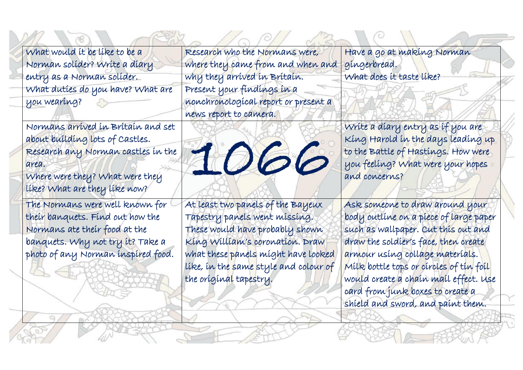What would it be like to be a Norman solider? Write a diary entry as a Norman solider. What duties do you have? What are you wearing?

Normans arrived in Britain and set about building lots of Castles. Research any Norman castles in the area.

Where were they? What were they like? What are they like now?

The Normans were well known for their banquets. Find out how the Normans ate their food at the banquets. Why not try it? Take a photo of any Norman inspired food.

Research who the Normans were, where they came from and when and why they arrived in Britain. Present your findings in a nonchronological report or present a news report to camera.

At least two panels of the Bayeux Tapestry panels went missing. These would have probably shown King William's coronation. Draw what these panels might have looked like, in the same style and colour of the original tapestry.

1066

Have a go at making Norman gingerbread. What does it taste like?

Write a diary entry as if you are King Harold in the days leading up to the Battle of Hastings. How were you feeling? What were your hopes and concerns?

í

į

Ask someone to draw around your body outline on a piece of large paper such as wallpaper. Cut this out and draw the soldier's face, then create armour using collage materials. Milk bottle tops or circles of tin foil would create a chain mail effect. Use card from junk boxes to create a shield and sword, and paint them.